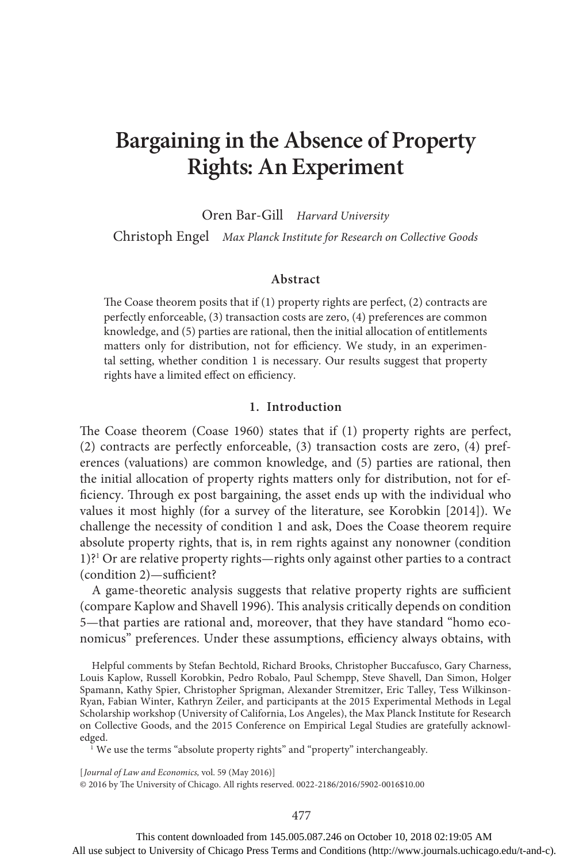# **Bargaining in the Absence of Property Rights: An Experiment**

Oren Bar-Gill *Harvard University*

Christoph Engel *Max Planck Institute for Research on Collective Goods*

#### **Abstract**

The Coase theorem posits that if (1) property rights are perfect, (2) contracts are perfectly enforceable, (3) transaction costs are zero, (4) preferences are common knowledge, and (5) parties are rational, then the initial allocation of entitlements matters only for distribution, not for efficiency. We study, in an experimental setting, whether condition 1 is necessary. Our results suggest that property rights have a limited effect on efficiency.

# **1. Introduction**

The Coase theorem (Coase 1960) states that if (1) property rights are perfect, (2) contracts are perfectly enforceable, (3) transaction costs are zero, (4) preferences (valuations) are common knowledge, and (5) parties are rational, then the initial allocation of property rights matters only for distribution, not for efficiency. Through ex post bargaining, the asset ends up with the individual who values it most highly (for a survey of the literature, see Korobkin [2014]). We challenge the necessity of condition 1 and ask, Does the Coase theorem require absolute property rights, that is, in rem rights against any nonowner (condition 1)?<sup>1</sup> Or are relative property rights—rights only against other parties to a contract (condition 2)—sufficient?

A game-theoretic analysis suggests that relative property rights are sufficient (compare Kaplow and Shavell 1996). This analysis critically depends on condition 5—that parties are rational and, moreover, that they have standard "homo economicus" preferences. Under these assumptions, efficiency always obtains, with

Helpful comments by Stefan Bechtold, Richard Brooks, Christopher Buccafusco, Gary Charness, Louis Kaplow, Russell Korobkin, Pedro Robalo, Paul Schempp, Steve Shavell, Dan Simon, Holger Spamann, Kathy Spier, Christopher Sprigman, Alexander Stremitzer, Eric Talley, Tess Wilkinson-Ryan, Fabian Winter, Kathryn Zeiler, and participants at the 2015 Experimental Methods in Legal Scholarship workshop (University of California, Los Angeles), the Max Planck Institute for Research on Collective Goods, and the 2015 Conference on Empirical Legal Studies are gratefully acknowledged.

<sup>1</sup> We use the terms "absolute property rights" and "property" interchangeably.

[ *Journal of Law and Economics,* vol. 59 (May 2016)] © 2016 by The University of Chicago. All rights reserved. 0022-2186/2016/5902-0016\$10.00

This content downloaded from 145.005.087.246 on October 10, 2018 02:19:05 AM All use subject to University of Chicago Press Terms and Conditions (http://www.journals.uchicago.edu/t-and-c).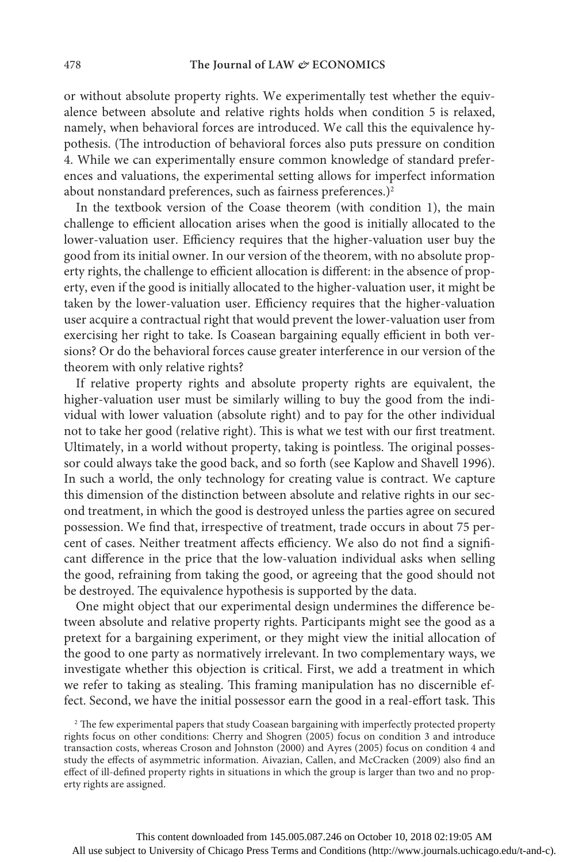or without absolute property rights. We experimentally test whether the equivalence between absolute and relative rights holds when condition 5 is relaxed, namely, when behavioral forces are introduced. We call this the equivalence hypothesis. (The introduction of behavioral forces also puts pressure on condition 4. While we can experimentally ensure common knowledge of standard preferences and valuations, the experimental setting allows for imperfect information about nonstandard preferences, such as fairness preferences.)<sup>2</sup>

In the textbook version of the Coase theorem (with condition 1), the main challenge to efficient allocation arises when the good is initially allocated to the lower-valuation user. Efficiency requires that the higher-valuation user buy the good from its initial owner. In our version of the theorem, with no absolute property rights, the challenge to efficient allocation is different: in the absence of property, even if the good is initially allocated to the higher-valuation user, it might be taken by the lower-valuation user. Efficiency requires that the higher-valuation user acquire a contractual right that would prevent the lower-valuation user from exercising her right to take. Is Coasean bargaining equally efficient in both versions? Or do the behavioral forces cause greater interference in our version of the theorem with only relative rights?

If relative property rights and absolute property rights are equivalent, the higher-valuation user must be similarly willing to buy the good from the individual with lower valuation (absolute right) and to pay for the other individual not to take her good (relative right). This is what we test with our first treatment. Ultimately, in a world without property, taking is pointless. The original possessor could always take the good back, and so forth (see Kaplow and Shavell 1996). In such a world, the only technology for creating value is contract. We capture this dimension of the distinction between absolute and relative rights in our second treatment, in which the good is destroyed unless the parties agree on secured possession. We find that, irrespective of treatment, trade occurs in about 75 percent of cases. Neither treatment affects efficiency. We also do not find a significant difference in the price that the low-valuation individual asks when selling the good, refraining from taking the good, or agreeing that the good should not be destroyed. The equivalence hypothesis is supported by the data.

One might object that our experimental design undermines the difference between absolute and relative property rights. Participants might see the good as a pretext for a bargaining experiment, or they might view the initial allocation of the good to one party as normatively irrelevant. In two complementary ways, we investigate whether this objection is critical. First, we add a treatment in which we refer to taking as stealing. This framing manipulation has no discernible effect. Second, we have the initial possessor earn the good in a real-effort task. This

<sup>2</sup> The few experimental papers that study Coasean bargaining with imperfectly protected property rights focus on other conditions: Cherry and Shogren (2005) focus on condition 3 and introduce transaction costs, whereas Croson and Johnston (2000) and Ayres (2005) focus on condition 4 and study the effects of asymmetric information. Aivazian, Callen, and McCracken (2009) also find an effect of ill-defined property rights in situations in which the group is larger than two and no property rights are assigned.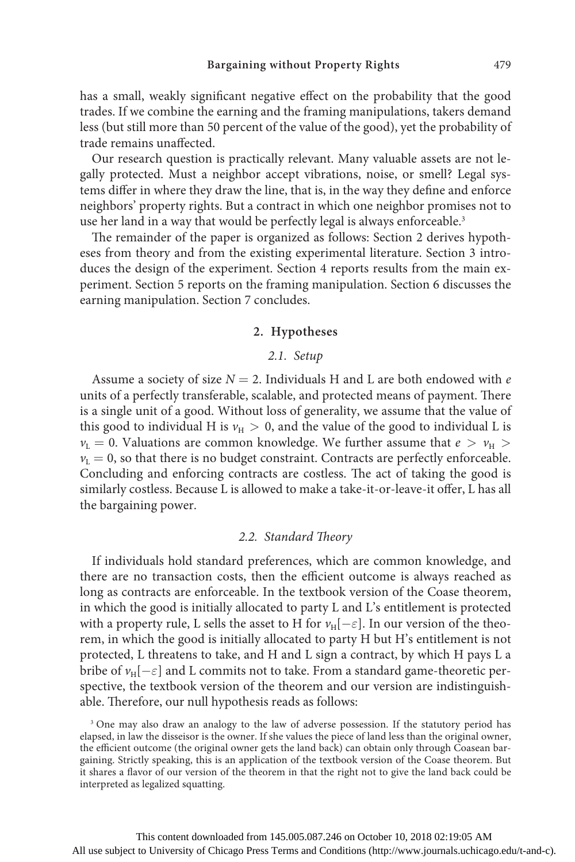has a small, weakly significant negative effect on the probability that the good trades. If we combine the earning and the framing manipulations, takers demand less (but still more than 50 percent of the value of the good), yet the probability of trade remains unaffected.

Our research question is practically relevant. Many valuable assets are not legally protected. Must a neighbor accept vibrations, noise, or smell? Legal systems differ in where they draw the line, that is, in the way they define and enforce neighbors' property rights. But a contract in which one neighbor promises not to use her land in a way that would be perfectly legal is always enforceable.<sup>3</sup>

The remainder of the paper is organized as follows: Section 2 derives hypotheses from theory and from the existing experimental literature. Section 3 introduces the design of the experiment. Section 4 reports results from the main experiment. Section 5 reports on the framing manipulation. Section 6 discusses the earning manipulation. Section 7 concludes.

## **2. Hypotheses**

# *2.1. Setup*

Assume a society of size  $N = 2$ . Individuals H and L are both endowed with *e* units of a perfectly transferable, scalable, and protected means of payment. There is a single unit of a good. Without loss of generality, we assume that the value of this good to individual H is  $v_H > 0$ , and the value of the good to individual L is  $v_L = 0$ . Valuations are common knowledge. We further assume that  $e > v_H > 0$  $v_L = 0$ , so that there is no budget constraint. Contracts are perfectly enforceable. Concluding and enforcing contracts are costless. The act of taking the good is similarly costless. Because L is allowed to make a take-it-or-leave-it offer, L has all the bargaining power.

## *2.2. Standard Theory*

If individuals hold standard preferences, which are common knowledge, and there are no transaction costs, then the efficient outcome is always reached as long as contracts are enforceable. In the textbook version of the Coase theorem, in which the good is initially allocated to party L and L's entitlement is protected with a property rule, L sells the asset to H for  $v_H[-\varepsilon]$ . In our version of the theorem, in which the good is initially allocated to party H but H's entitlement is not protected, L threatens to take, and H and L sign a contract, by which H pays L a bribe of  $v_H[-\varepsilon]$  and L commits not to take. From a standard game-theoretic perspective, the textbook version of the theorem and our version are indistinguishable. Therefore, our null hypothesis reads as follows:

<sup>&</sup>lt;sup>3</sup> One may also draw an analogy to the law of adverse possession. If the statutory period has elapsed, in law the disseisor is the owner. If she values the piece of land less than the original owner, the efficient outcome (the original owner gets the land back) can obtain only through Coasean bargaining. Strictly speaking, this is an application of the textbook version of the Coase theorem. But it shares a flavor of our version of the theorem in that the right not to give the land back could be interpreted as legalized squatting.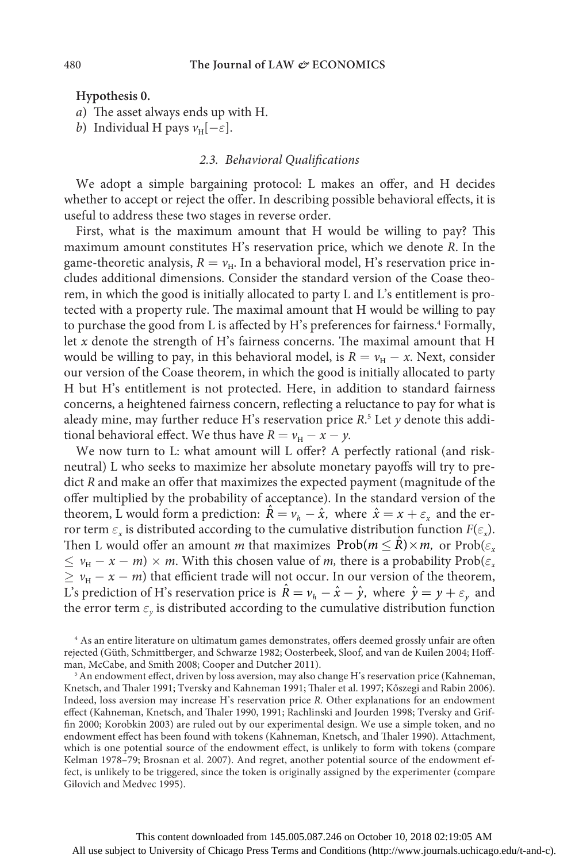**Hypothesis 0.**

- *a*) The asset always ends up with H.
- *b*) Individual H pays  $v_H[-\varepsilon]$ .

# *2.3. Behavioral Qualifications*

We adopt a simple bargaining protocol: L makes an offer, and H decides whether to accept or reject the offer. In describing possible behavioral effects, it is useful to address these two stages in reverse order.

First, what is the maximum amount that H would be willing to pay? This maximum amount constitutes H's reservation price, which we denote *R*. In the game-theoretic analysis,  $R = v_H$ . In a behavioral model, H's reservation price includes additional dimensions. Consider the standard version of the Coase theorem, in which the good is initially allocated to party L and L's entitlement is protected with a property rule. The maximal amount that H would be willing to pay to purchase the good from L is affected by H's preferences for fairness.<sup>4</sup> Formally, let *x* denote the strength of H's fairness concerns. The maximal amount that H would be willing to pay, in this behavioral model, is  $R = v_H - x$ . Next, consider our version of the Coase theorem, in which the good is initially allocated to party H but H's entitlement is not protected. Here, in addition to standard fairness concerns, a heightened fairness concern, reflecting a reluctance to pay for what is aleady mine, may further reduce H's reservation price *R*. 5 Let *y* denote this additional behavioral effect. We thus have  $R = v_H - x - y$ .

We now turn to L: what amount will L offer? A perfectly rational (and riskneutral) L who seeks to maximize her absolute monetary payoffs will try to predict *R* and make an offer that maximizes the expected payment (magnitude of the offer multiplied by the probability of acceptance). In the standard version of the theorem, L would form a prediction:  $\hat{R} = v_h - \hat{x}$ , where  $\hat{x} = x + \varepsilon_x$  and the error term  $\varepsilon$ <sub>*x*</sub> is distributed according to the cumulative distribution function  $F(\varepsilon)$ . Then L would offer an amount *m* that maximizes  $\text{Prob}(m \leq R) \times m$ , or  $\text{Prob}(\varepsilon_r)$  $\leq v_H - x - m \times m$ . With this chosen value of *m*, there is a probability Prob( $\varepsilon_x$  $\geq v_{\rm H} - x - m$ ) that efficient trade will not occur. In our version of the theorem, L's prediction of H's reservation price is  $\hat{R} = v_h - \hat{x} - \hat{y}$ , where  $\hat{y} = y + \varepsilon_y$  and the error term  $\varepsilon$ <sub>*y*</sub> is distributed according to the cumulative distribution function

<sup>4</sup> As an entire literature on ultimatum games demonstrates, offers deemed grossly unfair are often rejected (Güth, Schmittberger, and Schwarze 1982; Oosterbeek, Sloof, and van de Kuilen 2004; Hoffman, McCabe, and Smith 2008; Cooper and Dutcher 2011).

<sup>&</sup>lt;sup>5</sup> An endowment effect, driven by loss aversion, may also change H's reservation price (Kahneman, Knetsch, and Thaler 1991; Tversky and Kahneman 1991; Thaler et al. 1997; Kőszegi and Rabin 2006). Indeed, loss aversion may increase H's reservation price *R.* Other explanations for an endowment effect (Kahneman, Knetsch, and Thaler 1990, 1991; Rachlinski and Jourden 1998; Tversky and Griffin 2000; Korobkin 2003) are ruled out by our experimental design. We use a simple token, and no endowment effect has been found with tokens (Kahneman, Knetsch, and Thaler 1990). Attachment, which is one potential source of the endowment effect, is unlikely to form with tokens (compare Kelman 1978–79; Brosnan et al. 2007). And regret, another potential source of the endowment effect, is unlikely to be triggered, since the token is originally assigned by the experimenter (compare Gilovich and Medvec 1995).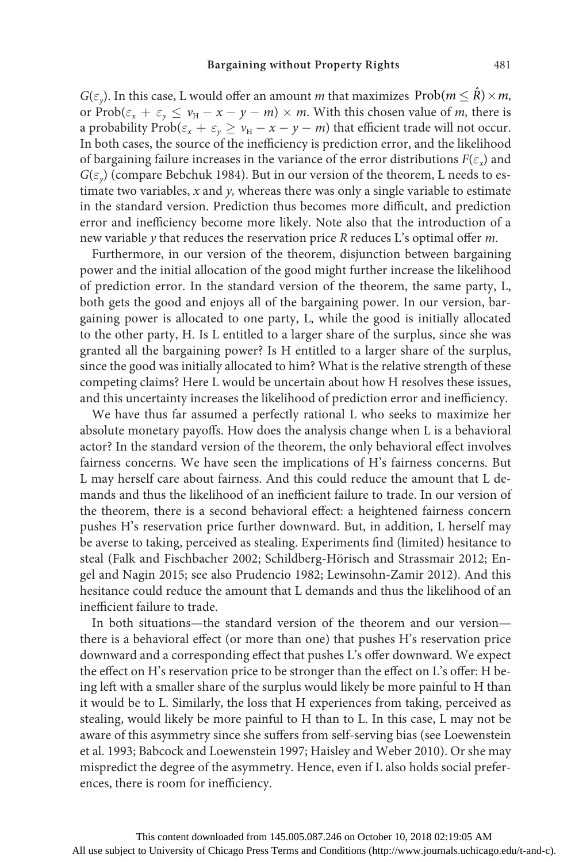*G*( $\varepsilon$ <sub>*v*</sub>). In this case, L would offer an amount *m* that maximizes  $Prob(m \le R) \times m$ , or Prob( $\varepsilon_x$  +  $\varepsilon_y$   $\leq$   $v_H$  -  $x$  -  $y$  -  $m$ )  $\times$  *m*. With this chosen value of *m*, there is a probability  $\text{Prob}(\varepsilon_x + \varepsilon_y \ge v_H - x - y - m)$  that efficient trade will not occur. In both cases, the source of the inefficiency is prediction error, and the likelihood of bargaining failure increases in the variance of the error distributions  $F(\varepsilon_x)$  and  $G(\varepsilon)$  (compare Bebchuk 1984). But in our version of the theorem, L needs to estimate two variables, *x* and *y,* whereas there was only a single variable to estimate in the standard version. Prediction thus becomes more difficult, and prediction error and inefficiency become more likely. Note also that the introduction of a new variable *y* that reduces the reservation price *R* reduces L's optimal offer *m*.

Furthermore, in our version of the theorem, disjunction between bargaining power and the initial allocation of the good might further increase the likelihood of prediction error. In the standard version of the theorem, the same party, L, both gets the good and enjoys all of the bargaining power. In our version, bargaining power is allocated to one party, L, while the good is initially allocated to the other party, H. Is L entitled to a larger share of the surplus, since she was granted all the bargaining power? Is H entitled to a larger share of the surplus, since the good was initially allocated to him? What is the relative strength of these competing claims? Here L would be uncertain about how H resolves these issues, and this uncertainty increases the likelihood of prediction error and inefficiency.

We have thus far assumed a perfectly rational L who seeks to maximize her absolute monetary payoffs. How does the analysis change when L is a behavioral actor? In the standard version of the theorem, the only behavioral effect involves fairness concerns. We have seen the implications of H's fairness concerns. But L may herself care about fairness. And this could reduce the amount that L demands and thus the likelihood of an inefficient failure to trade. In our version of the theorem, there is a second behavioral effect: a heightened fairness concern pushes H's reservation price further downward. But, in addition, L herself may be averse to taking, perceived as stealing. Experiments find (limited) hesitance to steal (Falk and Fischbacher 2002; Schildberg-Hörisch and Strassmair 2012; Engel and Nagin 2015; see also Prudencio 1982; Lewinsohn-Zamir 2012). And this hesitance could reduce the amount that L demands and thus the likelihood of an inefficient failure to trade.

In both situations—the standard version of the theorem and our version there is a behavioral effect (or more than one) that pushes H's reservation price downward and a corresponding effect that pushes L's offer downward. We expect the effect on H's reservation price to be stronger than the effect on L's offer: H being left with a smaller share of the surplus would likely be more painful to H than it would be to L. Similarly, the loss that H experiences from taking, perceived as stealing, would likely be more painful to H than to L. In this case, L may not be aware of this asymmetry since she suffers from self-serving bias (see Loewenstein et al. 1993; Babcock and Loewenstein 1997; Haisley and Weber 2010). Or she may mispredict the degree of the asymmetry. Hence, even if L also holds social preferences, there is room for inefficiency.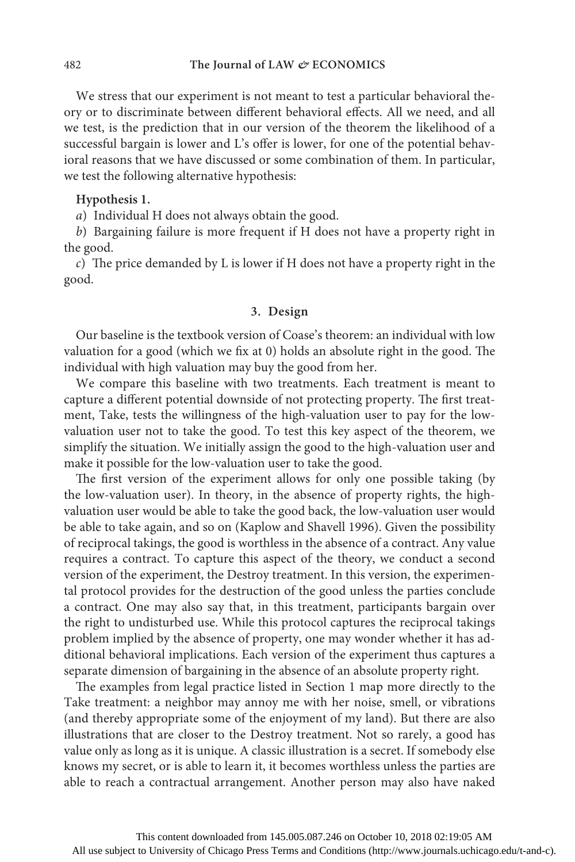We stress that our experiment is not meant to test a particular behavioral theory or to discriminate between different behavioral effects. All we need, and all we test, is the prediction that in our version of the theorem the likelihood of a successful bargain is lower and L's offer is lower, for one of the potential behavioral reasons that we have discussed or some combination of them. In particular, we test the following alternative hypothesis:

## **Hypothesis 1.**

*a*) Individual H does not always obtain the good.

*b*) Bargaining failure is more frequent if H does not have a property right in the good.

*c*) The price demanded by L is lower if H does not have a property right in the good.

# **3. Design**

Our baseline is the textbook version of Coase's theorem: an individual with low valuation for a good (which we fix at 0) holds an absolute right in the good. The individual with high valuation may buy the good from her.

We compare this baseline with two treatments. Each treatment is meant to capture a different potential downside of not protecting property. The first treatment, Take, tests the willingness of the high-valuation user to pay for the lowvaluation user not to take the good. To test this key aspect of the theorem, we simplify the situation. We initially assign the good to the high-valuation user and make it possible for the low-valuation user to take the good.

The first version of the experiment allows for only one possible taking (by the low-valuation user). In theory, in the absence of property rights, the highvaluation user would be able to take the good back, the low-valuation user would be able to take again, and so on (Kaplow and Shavell 1996). Given the possibility of reciprocal takings, the good is worthless in the absence of a contract. Any value requires a contract. To capture this aspect of the theory, we conduct a second version of the experiment, the Destroy treatment. In this version, the experimental protocol provides for the destruction of the good unless the parties conclude a contract. One may also say that, in this treatment, participants bargain over the right to undisturbed use. While this protocol captures the reciprocal takings problem implied by the absence of property, one may wonder whether it has additional behavioral implications. Each version of the experiment thus captures a separate dimension of bargaining in the absence of an absolute property right.

The examples from legal practice listed in Section 1 map more directly to the Take treatment: a neighbor may annoy me with her noise, smell, or vibrations (and thereby appropriate some of the enjoyment of my land). But there are also illustrations that are closer to the Destroy treatment. Not so rarely, a good has value only as long as it is unique. A classic illustration is a secret. If somebody else knows my secret, or is able to learn it, it becomes worthless unless the parties are able to reach a contractual arrangement. Another person may also have naked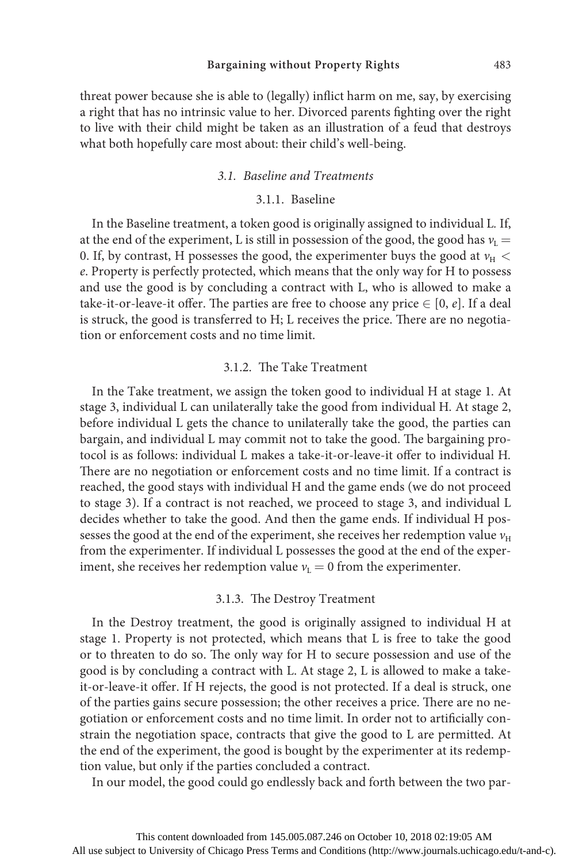#### **Bargaining without Property Rights** 483

threat power because she is able to (legally) inflict harm on me, say, by exercising a right that has no intrinsic value to her. Divorced parents fighting over the right to live with their child might be taken as an illustration of a feud that destroys what both hopefully care most about: their child's well-being.

#### *3.1. Baseline and Treatments*

#### 3.1.1. Baseline

In the Baseline treatment, a token good is originally assigned to individual L*.* If, at the end of the experiment, L is still in possession of the good, the good has  $v_L$  = 0. If, by contrast, H possesses the good, the experimenter buys the good at  $v_H <$ *e*. Property is perfectly protected, which means that the only way for H to possess and use the good is by concluding a contract with L, who is allowed to make a take-it-or-leave-it offer. The parties are free to choose any price ∈ [0, *e*]. If a deal is struck, the good is transferred to H; L receives the price. There are no negotiation or enforcement costs and no time limit.

# 3.1.2. The Take Treatment

In the Take treatment, we assign the token good to individual H at stage 1*.* At stage 3, individual L can unilaterally take the good from individual H*.* At stage 2, before individual L gets the chance to unilaterally take the good, the parties can bargain, and individual L may commit not to take the good. The bargaining protocol is as follows: individual L makes a take-it-or-leave-it offer to individual H*.* There are no negotiation or enforcement costs and no time limit. If a contract is reached, the good stays with individual H and the game ends (we do not proceed to stage 3). If a contract is not reached, we proceed to stage 3, and individual L decides whether to take the good. And then the game ends. If individual H possesses the good at the end of the experiment, she receives her redemption value  $v_H$ from the experimenter. If individual L possesses the good at the end of the experiment, she receives her redemption value  $v<sub>L</sub> = 0$  from the experimenter.

#### 3.1.3. The Destroy Treatment

In the Destroy treatment, the good is originally assigned to individual H at stage 1. Property is not protected, which means that L is free to take the good or to threaten to do so. The only way for H to secure possession and use of the good is by concluding a contract with L. At stage 2, L is allowed to make a takeit-or-leave-it offer. If H rejects, the good is not protected. If a deal is struck, one of the parties gains secure possession; the other receives a price. There are no negotiation or enforcement costs and no time limit. In order not to artificially constrain the negotiation space, contracts that give the good to L are permitted. At the end of the experiment, the good is bought by the experimenter at its redemption value, but only if the parties concluded a contract.

In our model, the good could go endlessly back and forth between the two par-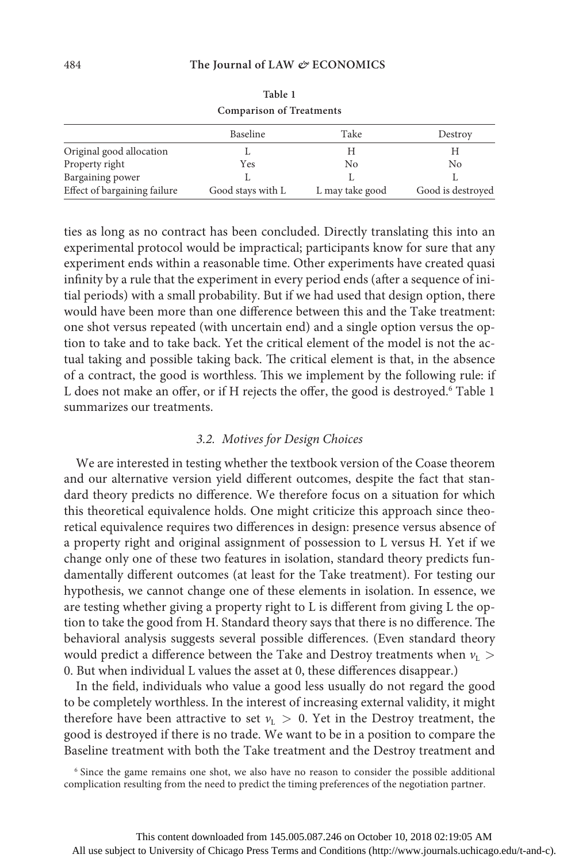| <b>Comparison of Treatments</b> |                   |                 |                   |
|---------------------------------|-------------------|-----------------|-------------------|
|                                 | Baseline          | Take            | Destroy           |
| Original good allocation        |                   | H               | Н                 |
| Property right                  | Yes               | No              | No                |
| Bargaining power                |                   |                 |                   |
| Effect of bargaining failure    | Good stays with L | L may take good | Good is destroyed |

**Table 1**

ties as long as no contract has been concluded. Directly translating this into an experimental protocol would be impractical; participants know for sure that any experiment ends within a reasonable time. Other experiments have created quasi infinity by a rule that the experiment in every period ends (after a sequence of initial periods) with a small probability. But if we had used that design option, there would have been more than one difference between this and the Take treatment: one shot versus repeated (with uncertain end) and a single option versus the option to take and to take back. Yet the critical element of the model is not the actual taking and possible taking back. The critical element is that, in the absence of a contract, the good is worthless. This we implement by the following rule: if L does not make an offer, or if H rejects the offer, the good is destroyed.<sup>6</sup> Table 1 summarizes our treatments.

# *3.2. Motives for Design Choices*

We are interested in testing whether the textbook version of the Coase theorem and our alternative version yield different outcomes, despite the fact that standard theory predicts no difference. We therefore focus on a situation for which this theoretical equivalence holds. One might criticize this approach since theoretical equivalence requires two differences in design: presence versus absence of a property right and original assignment of possession to L versus H*.* Yet if we change only one of these two features in isolation, standard theory predicts fundamentally different outcomes (at least for the Take treatment). For testing our hypothesis, we cannot change one of these elements in isolation. In essence, we are testing whether giving a property right to L is different from giving L the option to take the good from H. Standard theory says that there is no difference. The behavioral analysis suggests several possible differences. (Even standard theory would predict a difference between the Take and Destroy treatments when *ν*<sub>L</sub> > 0. But when individual L values the asset at 0, these differences disappear.)

In the field, individuals who value a good less usually do not regard the good to be completely worthless. In the interest of increasing external validity, it might therefore have been attractive to set  $v_L > 0$ . Yet in the Destroy treatment, the good is destroyed if there is no trade. We want to be in a position to compare the Baseline treatment with both the Take treatment and the Destroy treatment and

<sup>6</sup> Since the game remains one shot, we also have no reason to consider the possible additional complication resulting from the need to predict the timing preferences of the negotiation partner.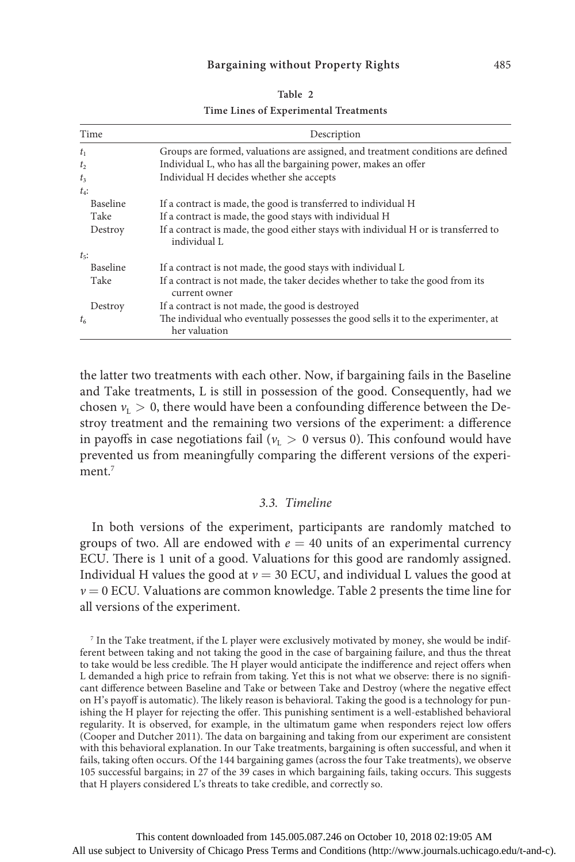|--|--|

**Time Lines of Experimental Treatments**

| Time            | Description                                                                                         |
|-----------------|-----------------------------------------------------------------------------------------------------|
| t <sub>1</sub>  | Groups are formed, valuations are assigned, and treatment conditions are defined                    |
| t <sub>2</sub>  | Individual L, who has all the bargaining power, makes an offer                                      |
| $t_3$           | Individual H decides whether she accepts                                                            |
| $t_4$ :         |                                                                                                     |
| <b>Baseline</b> | If a contract is made, the good is transferred to individual H                                      |
| Take            | If a contract is made, the good stays with individual H                                             |
| Destroy         | If a contract is made, the good either stays with individual H or is transferred to<br>individual L |
| $t_{5}$ :       |                                                                                                     |
| <b>Baseline</b> | If a contract is not made, the good stays with individual L                                         |
| Take            | If a contract is not made, the taker decides whether to take the good from its<br>current owner     |
| Destroy         | If a contract is not made, the good is destroyed                                                    |
| $t_{6}$         | The individual who eventually possesses the good sells it to the experimenter, at<br>her valuation  |

the latter two treatments with each other. Now, if bargaining fails in the Baseline and Take treatments, L is still in possession of the good. Consequently, had we chosen  $v_L > 0$ , there would have been a confounding difference between the Destroy treatment and the remaining two versions of the experiment: a difference in payoffs in case negotiations fail ( $v<sub>L</sub> > 0$  versus 0). This confound would have prevented us from meaningfully comparing the different versions of the experiment $<sup>7</sup>$ </sup>

#### *3.3. Timeline*

In both versions of the experiment, participants are randomly matched to groups of two. All are endowed with  $e = 40$  units of an experimental currency ECU. There is 1 unit of a good. Valuations for this good are randomly assigned. Individual H values the good at  $v = 30$  ECU, and individual L values the good at *ν =* 0 ECU*.* Valuations are common knowledge. Table 2 presents the time line for all versions of the experiment.

<sup>7</sup> In the Take treatment, if the L player were exclusively motivated by money, she would be indifferent between taking and not taking the good in the case of bargaining failure, and thus the threat to take would be less credible. The H player would anticipate the indifference and reject offers when L demanded a high price to refrain from taking. Yet this is not what we observe: there is no significant difference between Baseline and Take or between Take and Destroy (where the negative effect on H's payoff is automatic). The likely reason is behavioral. Taking the good is a technology for punishing the H player for rejecting the offer. This punishing sentiment is a well-established behavioral regularity. It is observed, for example, in the ultimatum game when responders reject low offers (Cooper and Dutcher 2011). The data on bargaining and taking from our experiment are consistent with this behavioral explanation. In our Take treatments, bargaining is often successful, and when it fails, taking often occurs. Of the 144 bargaining games (across the four Take treatments), we observe 105 successful bargains; in 27 of the 39 cases in which bargaining fails, taking occurs. This suggests that H players considered L's threats to take credible, and correctly so.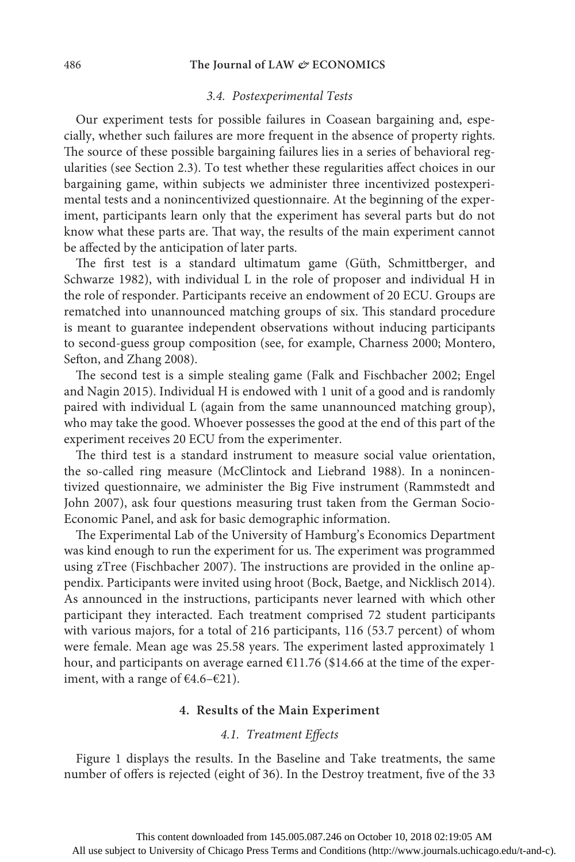#### 486 **The Journal of LAW** *&* **ECONOMICS**

#### *3.4. Postexperimental Tests*

Our experiment tests for possible failures in Coasean bargaining and, especially, whether such failures are more frequent in the absence of property rights. The source of these possible bargaining failures lies in a series of behavioral regularities (see Section 2.3). To test whether these regularities affect choices in our bargaining game, within subjects we administer three incentivized postexperimental tests and a nonincentivized questionnaire. At the beginning of the experiment, participants learn only that the experiment has several parts but do not know what these parts are. That way, the results of the main experiment cannot be affected by the anticipation of later parts.

The first test is a standard ultimatum game (Güth, Schmittberger, and Schwarze 1982), with individual L in the role of proposer and individual H in the role of responder. Participants receive an endowment of 20 ECU. Groups are rematched into unannounced matching groups of six. This standard procedure is meant to guarantee independent observations without inducing participants to second-guess group composition (see, for example, Charness 2000; Montero, Sefton, and Zhang 2008).

The second test is a simple stealing game (Falk and Fischbacher 2002; Engel and Nagin 2015). Individual H is endowed with 1 unit of a good and is randomly paired with individual L (again from the same unannounced matching group), who may take the good. Whoever possesses the good at the end of this part of the experiment receives 20 ECU from the experimenter.

The third test is a standard instrument to measure social value orientation, the so-called ring measure (McClintock and Liebrand 1988). In a nonincentivized questionnaire, we administer the Big Five instrument (Rammstedt and John 2007), ask four questions measuring trust taken from the German Socio-Economic Panel, and ask for basic demographic information.

The Experimental Lab of the University of Hamburg's Economics Department was kind enough to run the experiment for us. The experiment was programmed using zTree (Fischbacher 2007). The instructions are provided in the online appendix. Participants were invited using hroot (Bock, Baetge, and Nicklisch 2014). As announced in the instructions, participants never learned with which other participant they interacted. Each treatment comprised 72 student participants with various majors, for a total of 216 participants, 116 (53.7 percent) of whom were female. Mean age was 25.58 years. The experiment lasted approximately 1 hour, and participants on average earned €11.76 (\$14.66 at the time of the experiment, with a range of  $\text{\textsterling}4.6-\text{\textsterling}21$ ).

## **4. Results of the Main Experiment**

## *4.1. Treatment Effects*

Figure 1 displays the results. In the Baseline and Take treatments, the same number of offers is rejected (eight of 36). In the Destroy treatment, five of the 33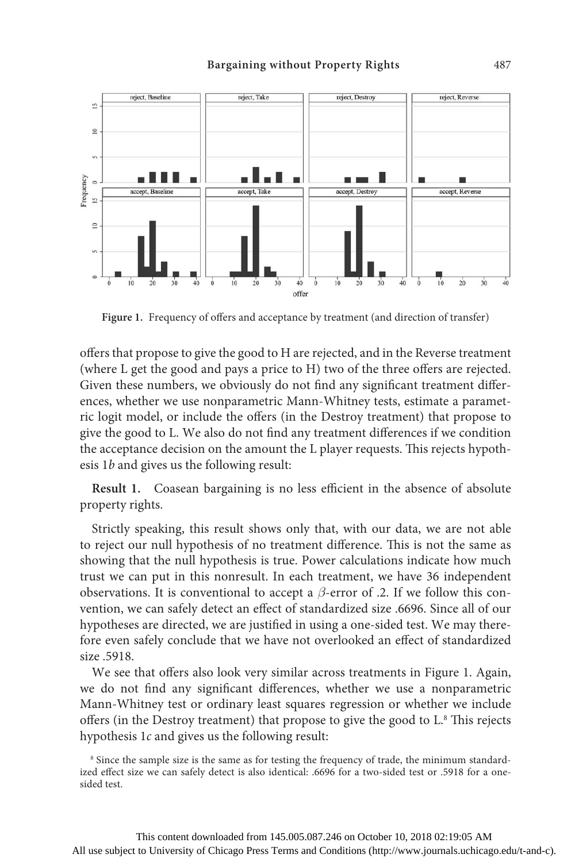

**Figure 1.** Frequency of offers and acceptance by treatment (and direction of transfer)

offers that propose to give the good to H are rejected, and in the Reverse treatment (where L get the good and pays a price to H) two of the three offers are rejected. Given these numbers, we obviously do not find any significant treatment differences, whether we use nonparametric Mann-Whitney tests, estimate a parametric logit model, or include the offers (in the Destroy treatment) that propose to give the good to L. We also do not find any treatment differences if we condition the acceptance decision on the amount the L player requests. This rejects hypothesis 1*b* and gives us the following result:

**Result 1.** Coasean bargaining is no less efficient in the absence of absolute property rights.

Strictly speaking, this result shows only that, with our data, we are not able to reject our null hypothesis of no treatment difference. This is not the same as showing that the null hypothesis is true. Power calculations indicate how much trust we can put in this nonresult. In each treatment, we have 36 independent observations. It is conventional to accept a *β*-error of .2. If we follow this convention, we can safely detect an effect of standardized size .6696. Since all of our hypotheses are directed, we are justified in using a one-sided test. We may therefore even safely conclude that we have not overlooked an effect of standardized size .5918.

We see that offers also look very similar across treatments in Figure 1. Again, we do not find any significant differences, whether we use a nonparametric Mann-Whitney test or ordinary least squares regression or whether we include offers (in the Destroy treatment) that propose to give the good to L.8 This rejects hypothesis 1*c* and gives us the following result:

<sup>8</sup> Since the sample size is the same as for testing the frequency of trade, the minimum standardized effect size we can safely detect is also identical: .6696 for a two-sided test or .5918 for a onesided test.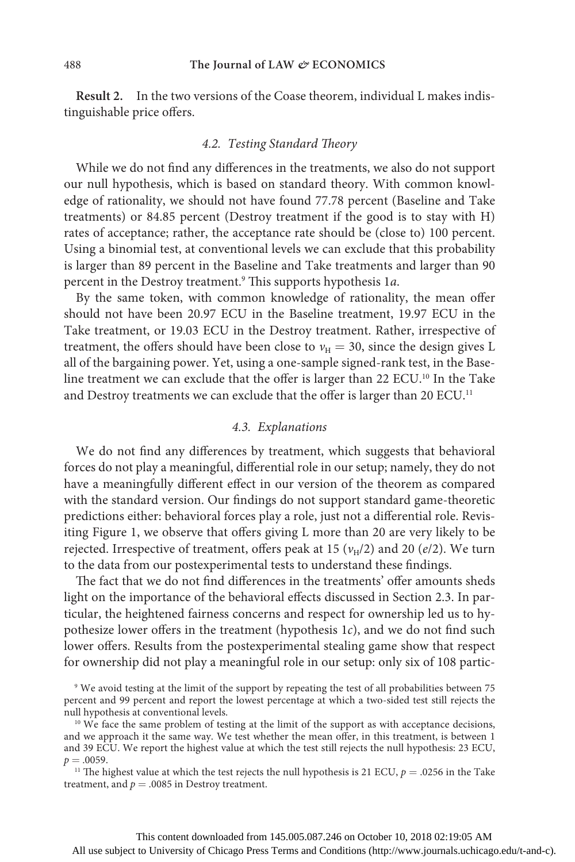**Result 2.** In the two versions of the Coase theorem, individual L makes indistinguishable price offers.

## *4.2. Testing Standard Theory*

While we do not find any differences in the treatments, we also do not support our null hypothesis, which is based on standard theory. With common knowledge of rationality, we should not have found 77.78 percent (Baseline and Take treatments) or 84.85 percent (Destroy treatment if the good is to stay with H) rates of acceptance; rather, the acceptance rate should be (close to) 100 percent. Using a binomial test, at conventional levels we can exclude that this probability is larger than 89 percent in the Baseline and Take treatments and larger than 90 percent in the Destroy treatment.9 This supports hypothesis 1*a*.

By the same token, with common knowledge of rationality, the mean offer should not have been 20.97 ECU in the Baseline treatment, 19.97 ECU in the Take treatment, or 19.03 ECU in the Destroy treatment. Rather, irrespective of treatment, the offers should have been close to  $v_H = 30$ , since the design gives L all of the bargaining power. Yet, using a one-sample signed-rank test, in the Baseline treatment we can exclude that the offer is larger than 22 ECU.10 In the Take and Destroy treatments we can exclude that the offer is larger than 20 ECU.<sup>11</sup>

#### *4.3. Explanations*

We do not find any differences by treatment, which suggests that behavioral forces do not play a meaningful, differential role in our setup; namely, they do not have a meaningfully different effect in our version of the theorem as compared with the standard version. Our findings do not support standard game-theoretic predictions either: behavioral forces play a role, just not a differential role. Revisiting Figure 1, we observe that offers giving L more than 20 are very likely to be rejected. Irrespective of treatment, offers peak at 15 ( $v_H/2$ ) and 20 ( $e/2$ ). We turn to the data from our postexperimental tests to understand these findings.

The fact that we do not find differences in the treatments' offer amounts sheds light on the importance of the behavioral effects discussed in Section 2.3. In particular, the heightened fairness concerns and respect for ownership led us to hypothesize lower offers in the treatment (hypothesis 1*c*), and we do not find such lower offers. Results from the postexperimental stealing game show that respect for ownership did not play a meaningful role in our setup: only six of 108 partic-

<sup>11</sup> The highest value at which the test rejects the null hypothesis is 21 ECU,  $p = .0256$  in the Take treatment, and  $p = .0085$  in Destroy treatment.

<sup>&</sup>lt;sup>9</sup> We avoid testing at the limit of the support by repeating the test of all probabilities between 75 percent and 99 percent and report the lowest percentage at which a two-sided test still rejects the null hypothesis at conventional levels.

<sup>&</sup>lt;sup>10</sup> We face the same problem of testing at the limit of the support as with acceptance decisions, and we approach it the same way. We test whether the mean offer, in this treatment, is between 1 and 39 ECU. We report the highest value at which the test still rejects the null hypothesis: 23 ECU,  $p = .0059$ .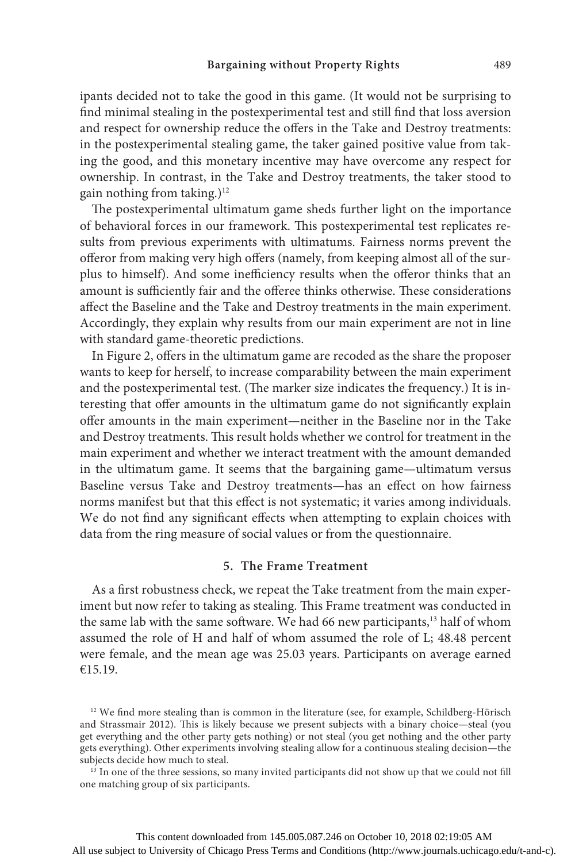ipants decided not to take the good in this game. (It would not be surprising to find minimal stealing in the postexperimental test and still find that loss aversion and respect for ownership reduce the offers in the Take and Destroy treatments: in the postexperimental stealing game, the taker gained positive value from taking the good, and this monetary incentive may have overcome any respect for ownership. In contrast, in the Take and Destroy treatments, the taker stood to gain nothing from taking.)<sup>12</sup>

The postexperimental ultimatum game sheds further light on the importance of behavioral forces in our framework. This postexperimental test replicates results from previous experiments with ultimatums. Fairness norms prevent the offeror from making very high offers (namely, from keeping almost all of the surplus to himself). And some inefficiency results when the offeror thinks that an amount is sufficiently fair and the offeree thinks otherwise. These considerations affect the Baseline and the Take and Destroy treatments in the main experiment. Accordingly, they explain why results from our main experiment are not in line with standard game-theoretic predictions.

In Figure 2, offers in the ultimatum game are recoded as the share the proposer wants to keep for herself, to increase comparability between the main experiment and the postexperimental test. (The marker size indicates the frequency.) It is interesting that offer amounts in the ultimatum game do not significantly explain offer amounts in the main experiment—neither in the Baseline nor in the Take and Destroy treatments. This result holds whether we control for treatment in the main experiment and whether we interact treatment with the amount demanded in the ultimatum game. It seems that the bargaining game—ultimatum versus Baseline versus Take and Destroy treatments—has an effect on how fairness norms manifest but that this effect is not systematic; it varies among individuals. We do not find any significant effects when attempting to explain choices with data from the ring measure of social values or from the questionnaire.

#### **5. The Frame Treatment**

As a first robustness check, we repeat the Take treatment from the main experiment but now refer to taking as stealing. This Frame treatment was conducted in the same lab with the same software. We had 66 new participants,<sup>13</sup> half of whom assumed the role of H and half of whom assumed the role of L; 48.48 percent were female, and the mean age was 25.03 years. Participants on average earned €15.19.

<sup>&</sup>lt;sup>12</sup> We find more stealing than is common in the literature (see, for example, Schildberg-Hörisch and Strassmair 2012). This is likely because we present subjects with a binary choice—steal (you get everything and the other party gets nothing) or not steal (you get nothing and the other party gets everything). Other experiments involving stealing allow for a continuous stealing decision—the subjects decide how much to steal.

<sup>&</sup>lt;sup>13</sup> In one of the three sessions, so many invited participants did not show up that we could not fill one matching group of six participants.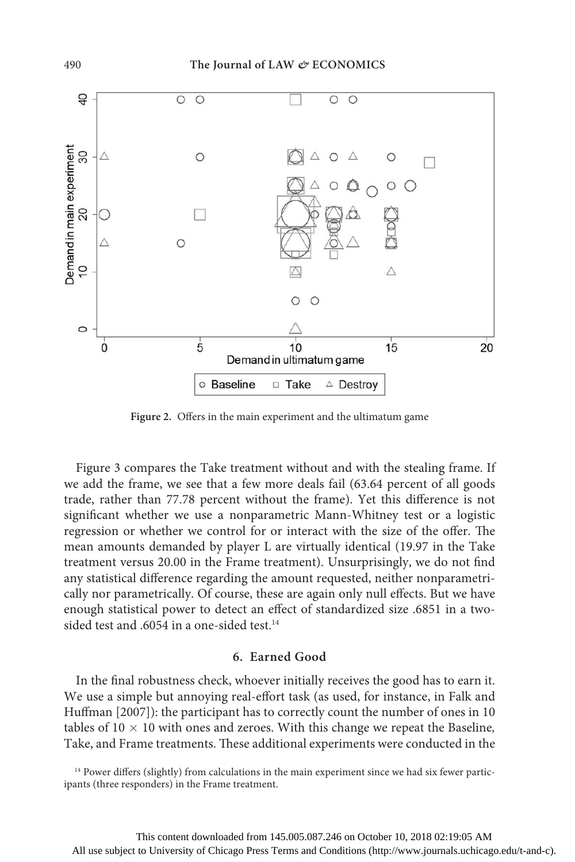

**Figure 2.** Offers in the main experiment and the ultimatum game

Figure 3 compares the Take treatment without and with the stealing frame. If we add the frame, we see that a few more deals fail (63.64 percent of all goods trade, rather than 77.78 percent without the frame). Yet this difference is not significant whether we use a nonparametric Mann-Whitney test or a logistic regression or whether we control for or interact with the size of the offer. The mean amounts demanded by player L are virtually identical (19.97 in the Take treatment versus 20.00 in the Frame treatment). Unsurprisingly, we do not find any statistical difference regarding the amount requested, neither nonparametrically nor parametrically. Of course, these are again only null effects. But we have enough statistical power to detect an effect of standardized size .6851 in a twosided test and .6054 in a one-sided test.<sup>14</sup>

# **6. Earned Good**

In the final robustness check, whoever initially receives the good has to earn it. We use a simple but annoying real-effort task (as used, for instance, in Falk and Huffman [2007]): the participant has to correctly count the number of ones in 10 tables of  $10 \times 10$  with ones and zeroes. With this change we repeat the Baseline, Take, and Frame treatments. These additional experiments were conducted in the

<sup>14</sup> Power differs (slightly) from calculations in the main experiment since we had six fewer participants (three responders) in the Frame treatment.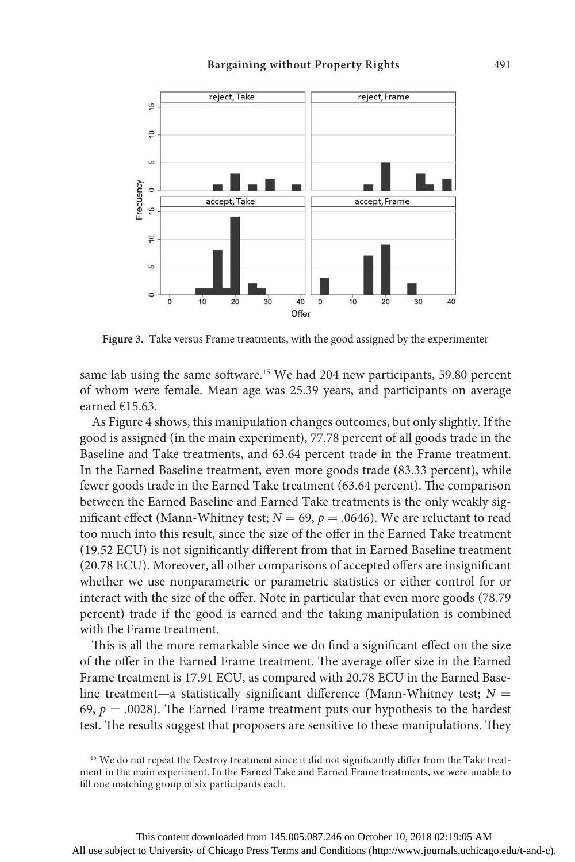

**Figure 3.** Take versus Frame treatments, with the good assigned by the experimenter

same lab using the same software.<sup>15</sup> We had 204 new participants, 59.80 percent of whom were female. Mean age was 25.39 years, and participants on average earned €15.63.

As Figure 4 shows, this manipulation changes outcomes, but only slightly. If the good is assigned (in the main experiment), 77.78 percent of all goods trade in the Baseline and Take treatments, and 63.64 percent trade in the Frame treatment. In the Earned Baseline treatment, even more goods trade (83.33 percent), while fewer goods trade in the Earned Take treatment (63.64 percent). The comparison between the Earned Baseline and Earned Take treatments is the only weakly significant effect (Mann-Whitney test;  $N = 69$ ,  $p = .0646$ ). We are reluctant to read too much into this result, since the size of the offer in the Earned Take treatment (19.52 ECU) is not significantly different from that in Earned Baseline treatment (20.78 ECU). Moreover, all other comparisons of accepted offers are insignificant whether we use nonparametric or parametric statistics or either control for or interact with the size of the offer. Note in particular that even more goods (78.79 percent) trade if the good is earned and the taking manipulation is combined with the Frame treatment.

This is all the more remarkable since we do find a significant effect on the size of the offer in the Earned Frame treatment. The average offer size in the Earned Frame treatment is 17.91 ECU, as compared with 20.78 ECU in the Earned Baseline treatment—a statistically significant difference (Mann-Whitney test; *N =* 69,  $p = .0028$ ). The Earned Frame treatment puts our hypothesis to the hardest test. The results suggest that proposers are sensitive to these manipulations. They

<sup>&</sup>lt;sup>15</sup> We do not repeat the Destroy treatment since it did not significantly differ from the Take treatment in the main experiment. In the Earned Take and Earned Frame treatments, we were unable to fill one matching group of six participants each.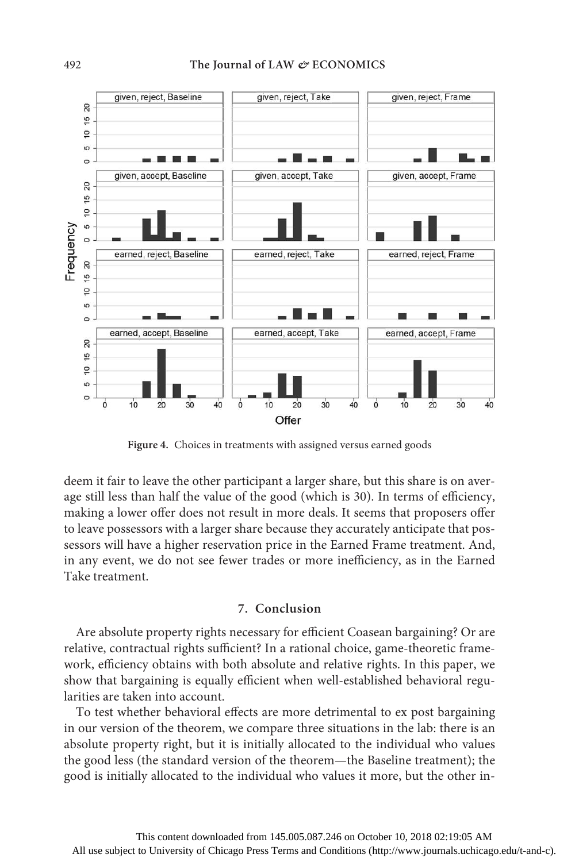

**Figure 4.** Choices in treatments with assigned versus earned goods

deem it fair to leave the other participant a larger share, but this share is on average still less than half the value of the good (which is 30). In terms of efficiency, making a lower offer does not result in more deals. It seems that proposers offer to leave possessors with a larger share because they accurately anticipate that possessors will have a higher reservation price in the Earned Frame treatment. And, in any event, we do not see fewer trades or more inefficiency, as in the Earned Take treatment.

# **7. Conclusion**

Are absolute property rights necessary for efficient Coasean bargaining? Or are relative, contractual rights sufficient? In a rational choice, game-theoretic framework, efficiency obtains with both absolute and relative rights. In this paper, we show that bargaining is equally efficient when well-established behavioral regularities are taken into account.

To test whether behavioral effects are more detrimental to ex post bargaining in our version of the theorem, we compare three situations in the lab: there is an absolute property right, but it is initially allocated to the individual who values the good less (the standard version of the theorem—the Baseline treatment); the good is initially allocated to the individual who values it more, but the other in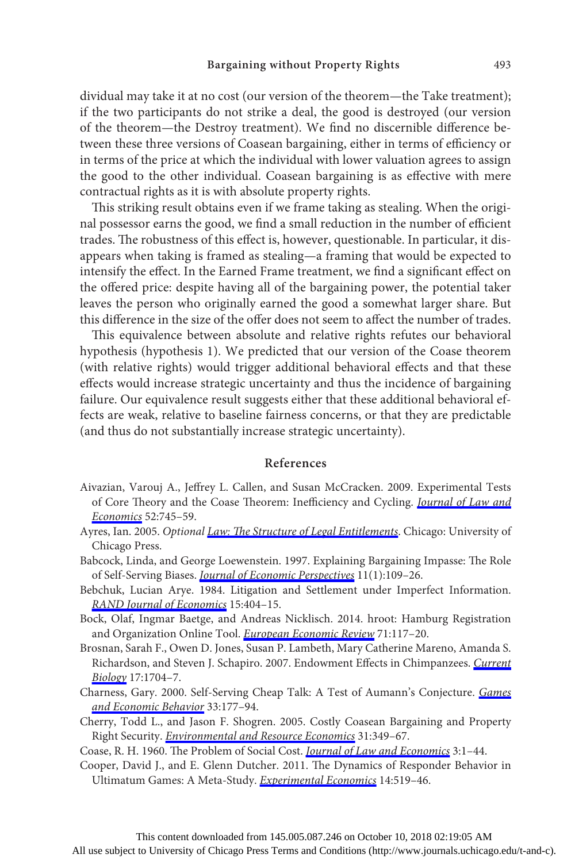dividual may take it at no cost (our version of the theorem—the Take treatment); if the two participants do not strike a deal, the good is destroyed (our version of the theorem—the Destroy treatment). We find no discernible difference between these three versions of Coasean bargaining, either in terms of efficiency or in terms of the price at which the individual with lower valuation agrees to assign the good to the other individual. Coasean bargaining is as effective with mere contractual rights as it is with absolute property rights.

This striking result obtains even if we frame taking as stealing. When the original possessor earns the good, we find a small reduction in the number of efficient trades. The robustness of this effect is, however, questionable. In particular, it disappears when taking is framed as stealing—a framing that would be expected to intensify the effect. In the Earned Frame treatment, we find a significant effect on the offered price: despite having all of the bargaining power, the potential taker leaves the person who originally earned the good a somewhat larger share. But this difference in the size of the offer does not seem to affect the number of trades.

This equivalence between absolute and relative rights refutes our behavioral hypothesis (hypothesis 1). We predicted that our version of the Coase theorem (with relative rights) would trigger additional behavioral effects and that these effects would increase strategic uncertainty and thus the incidence of bargaining failure. Our equivalence result suggests either that these additional behavioral effects are weak, relative to baseline fairness concerns, or that they are predictable (and thus do not substantially increase strategic uncertainty).

## **References**

- Aivazian, Varouj A., Jeffrey L. Callen, and Susan McCracken. 2009. Experimental Tests of Core Theory and the Coase Theorem: Inefficiency and Cycling. *[Journal of Law and](https://www.journals.uchicago.edu/action/showLinks?doi=10.1086%2F687411&system=10.1086%2F596562&citationId=p_27) [Economics](https://www.journals.uchicago.edu/action/showLinks?doi=10.1086%2F687411&system=10.1086%2F596562&citationId=p_27)* 52:745–59.
- Ayres, Ian. 2005. *Optional [Law: The Structure of Legal Entitlements](https://www.journals.uchicago.edu/action/showLinks?doi=10.1086%2F687411&crossref=10.7208%2Fchicago%2F9780226033488.001.0001&citationId=p_28)*. Chicago: University of Chicago Press.
- Babcock, Linda, and George Loewenstein. 1997. Explaining Bargaining Impasse: The Role of Self-Serving Biases. *[Journal of Economic Perspectives](https://www.journals.uchicago.edu/action/showLinks?doi=10.1086%2F687411&crossref=10.1257%2Fjep.11.1.109&citationId=p_29)* 11(1):109–26.
- Bebchuk, Lucian Arye. 1984. Litigation and Settlement under Imperfect Information. *[RAND Journal of Economics](https://www.journals.uchicago.edu/action/showLinks?doi=10.1086%2F687411&crossref=10.2307%2F2555448&citationId=p_30)* 15:404–15.
- Bock, Olaf, Ingmar Baetge, and Andreas Nicklisch. 2014. hroot: Hamburg Registration and Organization Online Tool. *[European Economic Review](https://www.journals.uchicago.edu/action/showLinks?doi=10.1086%2F687411&crossref=10.1016%2Fj.euroecorev.2014.07.003&citationId=p_31)* 71:117–20.
- Brosnan, Sarah F., Owen D. Jones, Susan P. Lambeth, Mary Catherine Mareno, Amanda S. Richardson, and Steven J. Schapiro. 2007. Endowment Effects in Chimpanzees. *[Current](https://www.journals.uchicago.edu/action/showLinks?doi=10.1086%2F687411&crossref=10.1016%2Fj.cub.2007.08.059&citationId=p_32) [Biology](https://www.journals.uchicago.edu/action/showLinks?doi=10.1086%2F687411&crossref=10.1016%2Fj.cub.2007.08.059&citationId=p_32)* 17:1704–7.
- Charness, Gary. 2000. Self-Serving Cheap Talk: A Test of Aumann's Conjecture. *[Games](https://www.journals.uchicago.edu/action/showLinks?doi=10.1086%2F687411&crossref=10.1006%2Fgame.1999.0776&citationId=p_33) [and Economic Behavior](https://www.journals.uchicago.edu/action/showLinks?doi=10.1086%2F687411&crossref=10.1006%2Fgame.1999.0776&citationId=p_33)* 33:177–94.
- Cherry, Todd L., and Jason F. Shogren. 2005. Costly Coasean Bargaining and Property Right Security. *[Environmental and Resource Economics](https://www.journals.uchicago.edu/action/showLinks?doi=10.1086%2F687411&crossref=10.1007%2Fs10640-005-1377-2&citationId=p_34)* 31:349–67.
- Coase, R. H. 1960. The Problem of Social Cost. *[Journal of Law and Economics](https://www.journals.uchicago.edu/action/showLinks?doi=10.1086%2F687411&system=10.1086%2F466560&citationId=p_35)* 3:1–44.
- Cooper, David J., and E. Glenn Dutcher. 2011. The Dynamics of Responder Behavior in Ultimatum Games: A Meta-Study. *[Experimental Economics](https://www.journals.uchicago.edu/action/showLinks?doi=10.1086%2F687411&crossref=10.1007%2Fs10683-011-9280-x&citationId=p_36)* 14:519–46.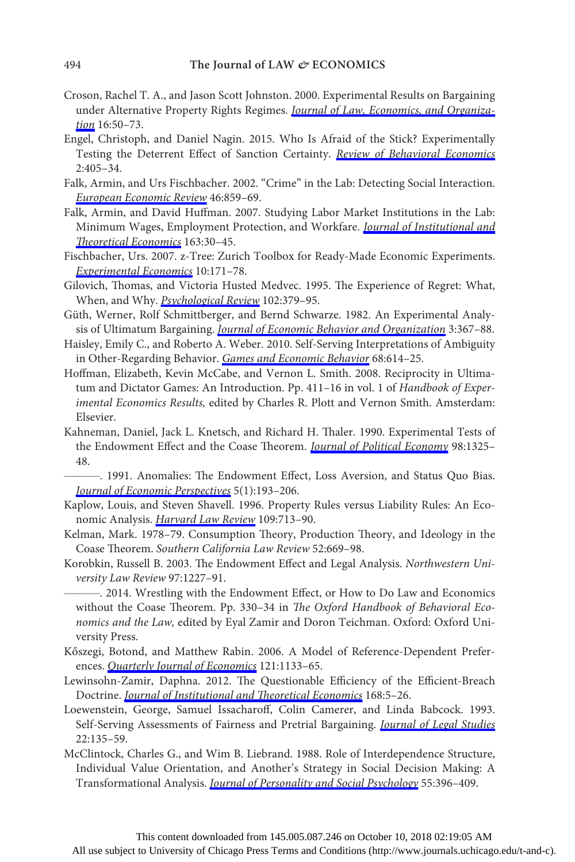- Croson, Rachel T. A., and Jason Scott Johnston. 2000. Experimental Results on Bargaining under Alternative Property Rights Regimes. *[Journal of Law, Economics, and Organiza](https://www.journals.uchicago.edu/action/showLinks?doi=10.1086%2F687411&crossref=10.1093%2Fjleo%2F16.1.50&citationId=p_37)[tion](https://www.journals.uchicago.edu/action/showLinks?doi=10.1086%2F687411&crossref=10.1093%2Fjleo%2F16.1.50&citationId=p_37)* 16:50–73.
- Engel, Christoph, and Daniel Nagin. 2015. Who Is Afraid of the Stick? Experimentally Testing the Deterrent Effect of Sanction Certainty. *[Review of Behavioral Economics](https://www.journals.uchicago.edu/action/showLinks?doi=10.1086%2F687411&crossref=10.1561%2F105.00000037&citationId=p_38)* 2:405–34.
- Falk, Armin, and Urs Fischbacher. 2002. "Crime" in the Lab: Detecting Social Interaction. *[European Economic Review](https://www.journals.uchicago.edu/action/showLinks?doi=10.1086%2F687411&crossref=10.1016%2FS0014-2921%2801%2900220-3&citationId=p_39)* 46:859–69.
- Falk, Armin, and David Huffman. 2007. Studying Labor Market Institutions in the Lab: Minimum Wages, Employment Protection, and Workfare. *[Journal of Institutional and](https://www.journals.uchicago.edu/action/showLinks?doi=10.1086%2F687411&crossref=10.1628%2F093245607780182044&citationId=p_40) [Theoretical Economics](https://www.journals.uchicago.edu/action/showLinks?doi=10.1086%2F687411&crossref=10.1628%2F093245607780182044&citationId=p_40)* 163:30–45.
- Fischbacher, Urs. 2007. z-Tree: Zurich Toolbox for Ready-Made Economic Experiments. *[Experimental Economics](https://www.journals.uchicago.edu/action/showLinks?doi=10.1086%2F687411&crossref=10.1007%2Fs10683-006-9159-4&citationId=p_41)* 10:171–78.
- Gilovich, Thomas, and Victoria Husted Medvec. 1995. The Experience of Regret: What, When, and Why. *[Psychological Review](https://www.journals.uchicago.edu/action/showLinks?doi=10.1086%2F687411&crossref=10.1037%2F0033-295X.102.2.379&citationId=p_42)* 102:379–95.
- Güth, Werner, Rolf Schmittberger, and Bernd Schwarze. 1982. An Experimental Analysis of Ultimatum Bargaining. *[Journal of Economic Behavior and Organization](https://www.journals.uchicago.edu/action/showLinks?doi=10.1086%2F687411&crossref=10.1016%2F0167-2681%2882%2990011-7&citationId=p_43)* 3:367–88.
- Haisley, Emily C., and Roberto A. Weber. 2010. Self-Serving Interpretations of Ambiguity in Other-Regarding Behavior. *[Games and Economic Behavior](https://www.journals.uchicago.edu/action/showLinks?doi=10.1086%2F687411&crossref=10.1016%2Fj.geb.2009.08.002&citationId=p_44)* 68:614–25.
- Hoffman, Elizabeth, Kevin McCabe, and Vernon L. Smith. 2008. Reciprocity in Ultimatum and Dictator Games: An Introduction. Pp. 411–16 in vol. 1 of *Handbook of Experimental Economics Results,* edited by Charles R. Plott and Vernon Smith. Amsterdam: Elsevier.
- Kahneman, Daniel, Jack L. Knetsch, and Richard H. Thaler. 1990. Experimental Tests of the Endowment Effect and the Coase Theorem. *[Journal of Political Economy](https://www.journals.uchicago.edu/action/showLinks?doi=10.1086%2F687411&system=10.1086%2F261737&citationId=p_46)* 98:1325– 48.
- ———. 1991. Anomalies: The Endowment Effect, Loss Aversion, and Status Quo Bias. *[Journal of Economic Perspectives](https://www.journals.uchicago.edu/action/showLinks?doi=10.1086%2F687411&crossref=10.1257%2Fjep.5.1.193&citationId=p_47)* 5(1):193–206.
- Kaplow, Louis, and Steven Shavell. 1996. Property Rules versus Liability Rules: An Economic Analysis. *[Harvard Law Review](https://www.journals.uchicago.edu/action/showLinks?doi=10.1086%2F687411&crossref=10.2307%2F1342135&citationId=p_48)* 109:713–90.
- Kelman, Mark. 1978–79. Consumption Theory, Production Theory, and Ideology in the Coase Theorem. *Southern California Law Review* 52:669–98.
- Korobkin, Russell B. 2003. The Endowment Effect and Legal Analysis. *Northwestern University Law Review* 97:1227–91.
	- ———. 2014. Wrestling with the Endowment Effect, or How to Do Law and Economics without the Coase Theorem. Pp. 330–34 in *The Oxford Handbook of Behavioral Economics and the Law,* edited by Eyal Zamir and Doron Teichman. Oxford: Oxford University Press.
- Kőszegi, Botond, and Matthew Rabin. 2006. A Model of Reference-Dependent Preferences. *[Quarterly Journal of Economics](https://www.journals.uchicago.edu/action/showLinks?doi=10.1086%2F687411&crossref=10.1093%2Fqje%2F121.1.121&citationId=p_52)* 121:1133–65.
- Lewinsohn-Zamir, Daphna. 2012. The Questionable Efficiency of the Efficient-Breach Doctrine. *[Journal of Institutional and Theoretical Economics](https://www.journals.uchicago.edu/action/showLinks?doi=10.1086%2F687411&crossref=10.1628%2F093245612799440014&citationId=p_53)* 168:5–26.
- Loewenstein, George, Samuel Issacharoff, Colin Camerer, and Linda Babcock. 1993. Self-Serving Assessments of Fairness and Pretrial Bargaining. *[Journal of Legal Studies](https://www.journals.uchicago.edu/action/showLinks?doi=10.1086%2F687411&system=10.1086%2F468160&citationId=p_54)* 22:135–59.
- McClintock, Charles G., and Wim B. Liebrand. 1988. Role of Interdependence Structure, Individual Value Orientation, and Another's Strategy in Social Decision Making: A Transformational Analysis. *[Journal of Personality and Social Psychology](https://www.journals.uchicago.edu/action/showLinks?doi=10.1086%2F687411&crossref=10.1037%2F0022-3514.55.3.396&citationId=p_55)* 55:396–409.